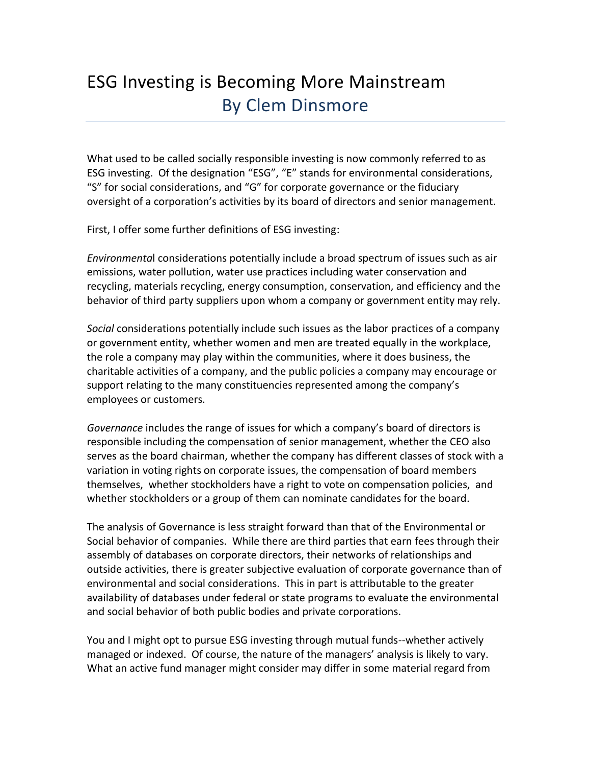## ESG Investing is Becoming More Mainstream By Clem Dinsmore

What used to be called socially responsible investing is now commonly referred to as ESG investing. Of the designation "ESG", "E" stands for environmental considerations, "S" for social considerations, and "G" for corporate governance or the fiduciary oversight of a corporation's activities by its board of directors and senior management.

First, I offer some further definitions of ESG investing:

*Environmenta*l considerations potentially include a broad spectrum of issues such as air emissions, water pollution, water use practices including water conservation and recycling, materials recycling, energy consumption, conservation, and efficiency and the behavior of third party suppliers upon whom a company or government entity may rely.

*Social* considerations potentially include such issues as the labor practices of a company or government entity, whether women and men are treated equally in the workplace, the role a company may play within the communities, where it does business, the charitable activities of a company, and the public policies a company may encourage or support relating to the many constituencies represented among the company's employees or customers.

*Governance* includes the range of issues for which a company's board of directors is responsible including the compensation of senior management, whether the CEO also serves as the board chairman, whether the company has different classes of stock with a variation in voting rights on corporate issues, the compensation of board members themselves, whether stockholders have a right to vote on compensation policies, and whether stockholders or a group of them can nominate candidates for the board.

The analysis of Governance is less straight forward than that of the Environmental or Social behavior of companies. While there are third parties that earn fees through their assembly of databases on corporate directors, their networks of relationships and outside activities, there is greater subjective evaluation of corporate governance than of environmental and social considerations. This in part is attributable to the greater availability of databases under federal or state programs to evaluate the environmental and social behavior of both public bodies and private corporations.

You and I might opt to pursue ESG investing through mutual funds--whether actively managed or indexed. Of course, the nature of the managers' analysis is likely to vary. What an active fund manager might consider may differ in some material regard from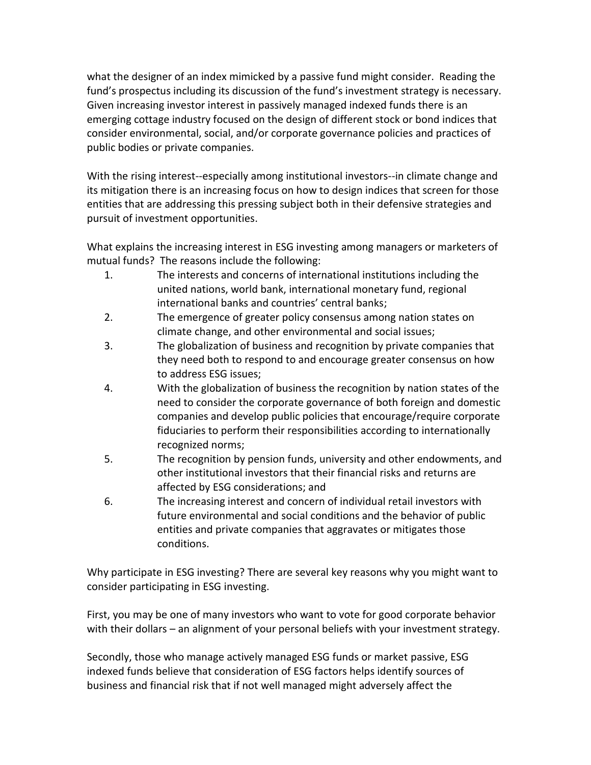what the designer of an index mimicked by a passive fund might consider. Reading the fund's prospectus including its discussion of the fund's investment strategy is necessary. Given increasing investor interest in passively managed indexed funds there is an emerging cottage industry focused on the design of different stock or bond indices that consider environmental, social, and/or corporate governance policies and practices of public bodies or private companies.

With the rising interest--especially among institutional investors--in climate change and its mitigation there is an increasing focus on how to design indices that screen for those entities that are addressing this pressing subject both in their defensive strategies and pursuit of investment opportunities.

What explains the increasing interest in ESG investing among managers or marketers of mutual funds? The reasons include the following:

- 1. The interests and concerns of international institutions including the united nations, world bank, international monetary fund, regional international banks and countries' central banks;
- 2. The emergence of greater policy consensus among nation states on climate change, and other environmental and social issues;
- 3. The globalization of business and recognition by private companies that they need both to respond to and encourage greater consensus on how to address ESG issues;
- 4. With the globalization of business the recognition by nation states of the need to consider the corporate governance of both foreign and domestic companies and develop public policies that encourage/require corporate fiduciaries to perform their responsibilities according to internationally recognized norms;
- 5. The recognition by pension funds, university and other endowments, and other institutional investors that their financial risks and returns are affected by ESG considerations; and
- 6. The increasing interest and concern of individual retail investors with future environmental and social conditions and the behavior of public entities and private companies that aggravates or mitigates those conditions.

Why participate in ESG investing? There are several key reasons why you might want to consider participating in ESG investing.

First, you may be one of many investors who want to vote for good corporate behavior with their dollars – an alignment of your personal beliefs with your investment strategy.

Secondly, those who manage actively managed ESG funds or market passive, ESG indexed funds believe that consideration of ESG factors helps identify sources of business and financial risk that if not well managed might adversely affect the